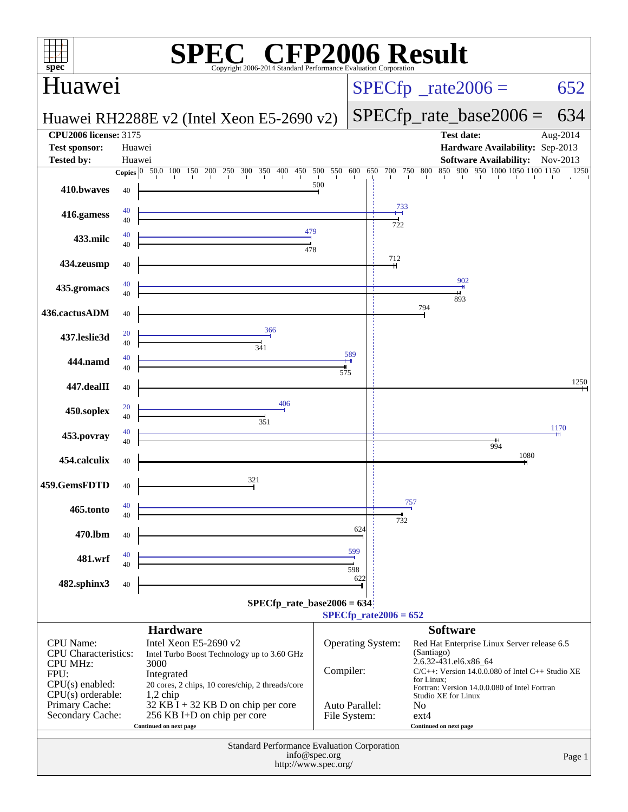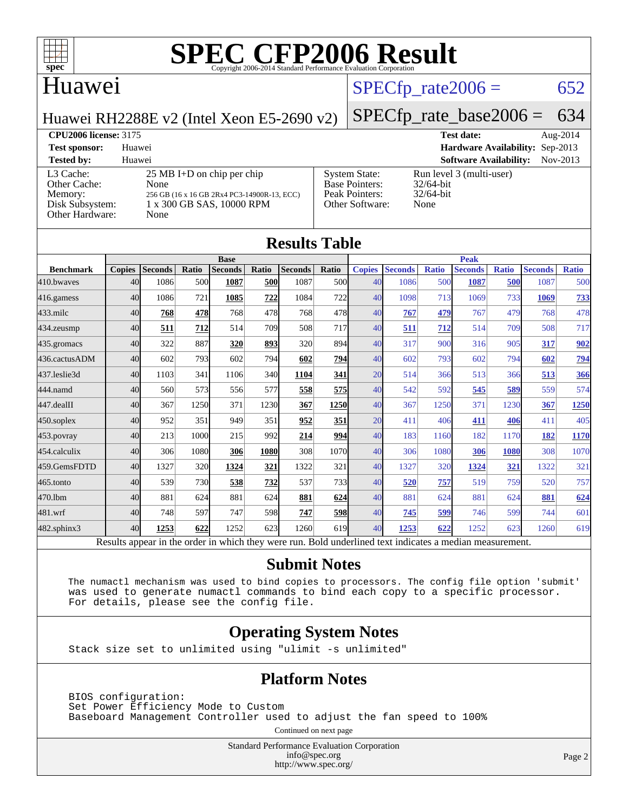

### Huawei

### $SPECTp_rate2006 = 652$

[System State:](http://www.spec.org/auto/cpu2006/Docs/result-fields.html#SystemState) Run level 3 (multi-user)<br>Base Pointers: 32/64-bit

[Peak Pointers:](http://www.spec.org/auto/cpu2006/Docs/result-fields.html#PeakPointers) 32/64-bit [Other Software:](http://www.spec.org/auto/cpu2006/Docs/result-fields.html#OtherSoftware) None

[Base Pointers:](http://www.spec.org/auto/cpu2006/Docs/result-fields.html#BasePointers)

Huawei RH2288E v2 (Intel Xeon E5-2690 v2)

## [SPECfp\\_rate\\_base2006 =](http://www.spec.org/auto/cpu2006/Docs/result-fields.html#SPECfpratebase2006) 634

**[CPU2006 license:](http://www.spec.org/auto/cpu2006/Docs/result-fields.html#CPU2006license)** 3175 **[Test date:](http://www.spec.org/auto/cpu2006/Docs/result-fields.html#Testdate)** Aug-2014 **[Test sponsor:](http://www.spec.org/auto/cpu2006/Docs/result-fields.html#Testsponsor)** Huawei **[Hardware Availability:](http://www.spec.org/auto/cpu2006/Docs/result-fields.html#HardwareAvailability)** Sep-2013

**[Tested by:](http://www.spec.org/auto/cpu2006/Docs/result-fields.html#Testedby)** Huawei **[Software Availability:](http://www.spec.org/auto/cpu2006/Docs/result-fields.html#SoftwareAvailability)** Nov-2013 [L3 Cache:](http://www.spec.org/auto/cpu2006/Docs/result-fields.html#L3Cache) 25 MB I+D on chip per chip<br>Other Cache: None [Other Cache:](http://www.spec.org/auto/cpu2006/Docs/result-fields.html#OtherCache) [Memory:](http://www.spec.org/auto/cpu2006/Docs/result-fields.html#Memory) 256 GB (16 x 16 GB 2Rx4 PC3-14900R-13, ECC) [Disk Subsystem:](http://www.spec.org/auto/cpu2006/Docs/result-fields.html#DiskSubsystem) 1 x 300 GB SAS, 10000 RPM [Other Hardware:](http://www.spec.org/auto/cpu2006/Docs/result-fields.html#OtherHardware) None

| <b>Results Table</b> |               |                |            |                |       |                |            |               |                |              |                |              |                |              |
|----------------------|---------------|----------------|------------|----------------|-------|----------------|------------|---------------|----------------|--------------|----------------|--------------|----------------|--------------|
|                      | <b>Base</b>   |                |            |                |       | <b>Peak</b>    |            |               |                |              |                |              |                |              |
| <b>Benchmark</b>     | <b>Copies</b> | <b>Seconds</b> | Ratio      | <b>Seconds</b> | Ratio | <b>Seconds</b> | Ratio      | <b>Copies</b> | <b>Seconds</b> | <b>Ratio</b> | <b>Seconds</b> | <b>Ratio</b> | <b>Seconds</b> | <b>Ratio</b> |
| 410.bwayes           | 40            | 1086           | 500        | 1087           | 500   | 1087           | 500l       | 40            | 1086           | 500          | 1087           | 500          | 1087           | 500          |
| $416$ .gamess        | 40            | 1086           | 721        | 1085           | 722   | 1084           | 722        | 40            | 1098           | 713          | 1069           | 733          | 1069           | 733          |
| $433$ .milc          | 40            | 768            | 478        | 768            | 478   | 768            | 478        | 40            | 767            | 479          | 767            | 479          | 768            | 478          |
| 434.zeusmp           | 40            | 511            | 712        | 514            | 709   | 508            | 717        | 40            | 511            | <u>712</u>   | 514            | 709          | 508            | 717          |
| $435$ .gromacs       | 40            | 322            | 887        | 320            | 893   | 320            | 894        | 40            | 317            | 900          | 316            | 905          | 317            | 902          |
| 436.cactusADM        | 40            | 602            | 793        | 602            | 794   | 602            | 794        | 40            | 602            | 793          | 602            | 794          | 602            | <u>794</u>   |
| 437.leslie3d         | 40            | 1103           | 341        | 1106           | 340   | 1104           | 341        | 20            | 514            | 366          | 513            | 366          | 513            | 366          |
| 444.namd             | 40            | 560            | 573        | 556            | 577   | 558            | 575        | 40            | 542            | 592          | 545            | 589          | 559            | 574          |
| 447.dealII           | 40            | 367            | 1250       | 371            | 1230  | 367            | 1250       | 40            | 367            | 1250         | 371            | 1230         | 367            | 1250         |
| $450$ .soplex        | 40            | 952            | 351        | 949            | 351   | 952            | 351        | 20            | 411            | 406          | 411            | 406          | 411            | 405          |
| $453$ .povray        | 40            | 213            | 1000       | 215            | 992   | 214            | 994        | 40            | 183            | 1160         | 182            | 1170         | 182            | <b>1170</b>  |
| 454.calculix         | 40            | 306            | 1080       | 306            | 1080  | 308            | 1070       | 40            | 306            | 1080         | 306            | 1080         | 308            | 1070         |
| 459.GemsFDTD         | 40            | 1327           | 320        | 1324           | 321   | 1322           | 321        | 40            | 1327           | 320          | 1324           | 321          | 1322           | 321          |
| 465.tonto            | 40            | 539            | <b>730</b> | 538            | 732   | 537            | <b>733</b> | 40            | 520            | 757          | 519            | 759          | 520            | 757          |
| 470.1bm              | 40            | 881            | 624        | 881            | 624   | 881            | 624        | 40            | 881            | 624          | 881            | 624          | 881            | 624          |
| 481.wrf              | 40            | 748            | 597        | 747            | 598   | 747            | <u>598</u> | 40            | 745            | 599          | 746            | 599          | 744            | 601          |
| 482.sphinx3          | 40            | 1253           | 622        | 1252           | 623   | 1260           | 619        | 40            | 1253           | 622          | 1252           | 623          | 1260           | 619          |

Results appear in the [order in which they were run.](http://www.spec.org/auto/cpu2006/Docs/result-fields.html#RunOrder) Bold underlined text [indicates a median measurement.](http://www.spec.org/auto/cpu2006/Docs/result-fields.html#Median)

#### **[Submit Notes](http://www.spec.org/auto/cpu2006/Docs/result-fields.html#SubmitNotes)**

 The numactl mechanism was used to bind copies to processors. The config file option 'submit' was used to generate numactl commands to bind each copy to a specific processor. For details, please see the config file.

### **[Operating System Notes](http://www.spec.org/auto/cpu2006/Docs/result-fields.html#OperatingSystemNotes)**

Stack size set to unlimited using "ulimit -s unlimited"

### **[Platform Notes](http://www.spec.org/auto/cpu2006/Docs/result-fields.html#PlatformNotes)**

 BIOS configuration: Set Power Efficiency Mode to Custom Baseboard Management Controller used to adjust the fan speed to 100%

Continued on next page

Standard Performance Evaluation Corporation [info@spec.org](mailto:info@spec.org) <http://www.spec.org/>

Page 2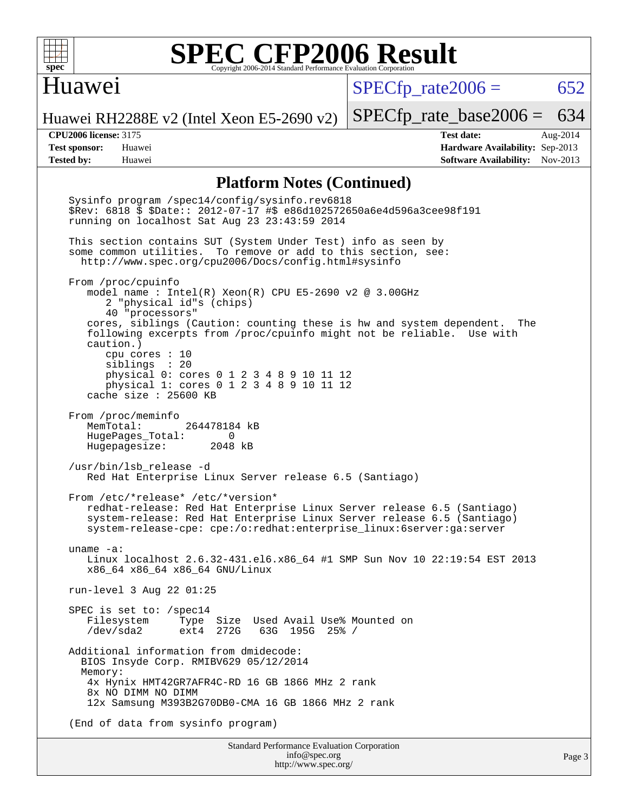

### Huawei

 $SPECTp\_rate2006 = 652$ 

[SPECfp\\_rate\\_base2006 =](http://www.spec.org/auto/cpu2006/Docs/result-fields.html#SPECfpratebase2006) 634

Huawei RH2288E v2 (Intel Xeon E5-2690 v2)

**[CPU2006 license:](http://www.spec.org/auto/cpu2006/Docs/result-fields.html#CPU2006license)** 3175 **[Test date:](http://www.spec.org/auto/cpu2006/Docs/result-fields.html#Testdate)** Aug-2014 **[Test sponsor:](http://www.spec.org/auto/cpu2006/Docs/result-fields.html#Testsponsor)** Huawei **[Hardware Availability:](http://www.spec.org/auto/cpu2006/Docs/result-fields.html#HardwareAvailability)** Sep-2013 **[Tested by:](http://www.spec.org/auto/cpu2006/Docs/result-fields.html#Testedby)** Huawei **[Software Availability:](http://www.spec.org/auto/cpu2006/Docs/result-fields.html#SoftwareAvailability)** Nov-2013

#### **[Platform Notes \(Continued\)](http://www.spec.org/auto/cpu2006/Docs/result-fields.html#PlatformNotes)**

Standard Performance Evaluation Corporation Sysinfo program /spec14/config/sysinfo.rev6818 \$Rev: 6818 \$ \$Date:: 2012-07-17 #\$ e86d102572650a6e4d596a3cee98f191 running on localhost Sat Aug 23 23:43:59 2014 This section contains SUT (System Under Test) info as seen by some common utilities. To remove or add to this section, see: <http://www.spec.org/cpu2006/Docs/config.html#sysinfo> From /proc/cpuinfo model name : Intel(R) Xeon(R) CPU E5-2690 v2 @ 3.00GHz 2 "physical id"s (chips) 40 "processors" cores, siblings (Caution: counting these is hw and system dependent. The following excerpts from /proc/cpuinfo might not be reliable. Use with caution.) cpu cores : 10 siblings : 20 physical 0: cores 0 1 2 3 4 8 9 10 11 12 physical 1: cores 0 1 2 3 4 8 9 10 11 12 cache size : 25600 KB From /proc/meminfo<br>MemTotal: 264478184 kB HugePages\_Total: 0<br>Hugepagesize: 2048 kB Hugepagesize: /usr/bin/lsb\_release -d Red Hat Enterprise Linux Server release 6.5 (Santiago) From /etc/\*release\* /etc/\*version\* redhat-release: Red Hat Enterprise Linux Server release 6.5 (Santiago) system-release: Red Hat Enterprise Linux Server release 6.5 (Santiago) system-release-cpe: cpe:/o:redhat:enterprise\_linux:6server:ga:server uname -a: Linux localhost 2.6.32-431.el6.x86\_64 #1 SMP Sun Nov 10 22:19:54 EST 2013 x86\_64 x86\_64 x86\_64 GNU/Linux run-level 3 Aug 22 01:25 SPEC is set to: /spec14 Filesystem Type Size Used-Avail-Use%-Mounted-on-<br>  $\sqrt{\text{dev/sda2}}$  ext4 272G 63G 195G 25%-/ /dev/sda2 ext4 272G 63G 195G 25% / Additional information from dmidecode: BIOS Insyde Corp. RMIBV629 05/12/2014 Memory: 4x Hynix HMT42GR7AFR4C-RD 16 GB 1866 MHz 2 rank 8x NO DIMM NO DIMM 12x Samsung M393B2G70DB0-CMA 16 GB 1866 MHz 2 rank (End of data from sysinfo program)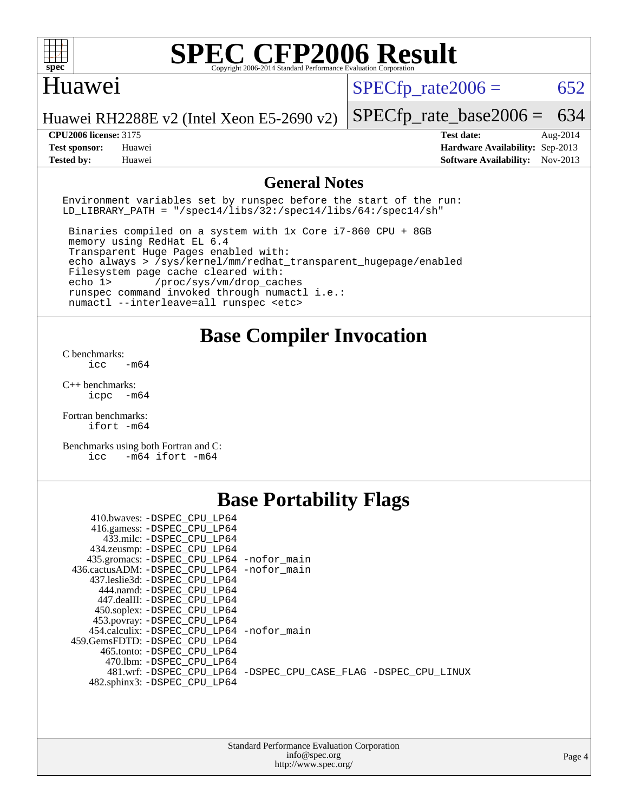

### Huawei

 $SPECTp\_rate2006 = 652$ 

Huawei RH2288E v2 (Intel Xeon E5-2690 v2)

**[CPU2006 license:](http://www.spec.org/auto/cpu2006/Docs/result-fields.html#CPU2006license)** 3175 **[Test date:](http://www.spec.org/auto/cpu2006/Docs/result-fields.html#Testdate)** Aug-2014

**[Tested by:](http://www.spec.org/auto/cpu2006/Docs/result-fields.html#Testedby)** Huawei **[Software Availability:](http://www.spec.org/auto/cpu2006/Docs/result-fields.html#SoftwareAvailability)** Nov-2013

[SPECfp\\_rate\\_base2006 =](http://www.spec.org/auto/cpu2006/Docs/result-fields.html#SPECfpratebase2006) 634

**[Test sponsor:](http://www.spec.org/auto/cpu2006/Docs/result-fields.html#Testsponsor)** Huawei **[Hardware Availability:](http://www.spec.org/auto/cpu2006/Docs/result-fields.html#HardwareAvailability)** Sep-2013

### **[General Notes](http://www.spec.org/auto/cpu2006/Docs/result-fields.html#GeneralNotes)**

Environment variables set by runspec before the start of the run: LD LIBRARY PATH = "/spec14/libs/32:/spec14/libs/64:/spec14/sh"

 Binaries compiled on a system with 1x Core i7-860 CPU + 8GB memory using RedHat EL 6.4 Transparent Huge Pages enabled with: echo always > /sys/kernel/mm/redhat\_transparent\_hugepage/enabled Filesystem page cache cleared with: echo 1> /proc/sys/vm/drop\_caches runspec command invoked through numactl i.e.: numactl --interleave=all runspec <etc>

**[Base Compiler Invocation](http://www.spec.org/auto/cpu2006/Docs/result-fields.html#BaseCompilerInvocation)**

[C benchmarks](http://www.spec.org/auto/cpu2006/Docs/result-fields.html#Cbenchmarks):  $\text{icc}$   $-\text{m64}$ 

[C++ benchmarks:](http://www.spec.org/auto/cpu2006/Docs/result-fields.html#CXXbenchmarks) [icpc -m64](http://www.spec.org/cpu2006/results/res2014q3/cpu2006-20140826-31041.flags.html#user_CXXbase_intel_icpc_64bit_bedb90c1146cab66620883ef4f41a67e)

[Fortran benchmarks](http://www.spec.org/auto/cpu2006/Docs/result-fields.html#Fortranbenchmarks): [ifort -m64](http://www.spec.org/cpu2006/results/res2014q3/cpu2006-20140826-31041.flags.html#user_FCbase_intel_ifort_64bit_ee9d0fb25645d0210d97eb0527dcc06e)

[Benchmarks using both Fortran and C](http://www.spec.org/auto/cpu2006/Docs/result-fields.html#BenchmarksusingbothFortranandC): [icc -m64](http://www.spec.org/cpu2006/results/res2014q3/cpu2006-20140826-31041.flags.html#user_CC_FCbase_intel_icc_64bit_0b7121f5ab7cfabee23d88897260401c) [ifort -m64](http://www.spec.org/cpu2006/results/res2014q3/cpu2006-20140826-31041.flags.html#user_CC_FCbase_intel_ifort_64bit_ee9d0fb25645d0210d97eb0527dcc06e)

### **[Base Portability Flags](http://www.spec.org/auto/cpu2006/Docs/result-fields.html#BasePortabilityFlags)**

| 410.bwaves: -DSPEC CPU LP64                  |                                                                |
|----------------------------------------------|----------------------------------------------------------------|
| 416.gamess: - DSPEC_CPU_LP64                 |                                                                |
| 433.milc: -DSPEC CPU LP64                    |                                                                |
| 434.zeusmp: - DSPEC_CPU_LP64                 |                                                                |
| 435.gromacs: -DSPEC_CPU_LP64 -nofor_main     |                                                                |
| 436.cactusADM: - DSPEC CPU LP64 - nofor main |                                                                |
| 437.leslie3d: -DSPEC CPU LP64                |                                                                |
| 444.namd: -DSPEC CPU LP64                    |                                                                |
| 447.dealII: -DSPEC CPU LP64                  |                                                                |
| 450.soplex: -DSPEC_CPU_LP64                  |                                                                |
| 453.povray: -DSPEC_CPU_LP64                  |                                                                |
| 454.calculix: - DSPEC CPU LP64 - nofor main  |                                                                |
| 459. GemsFDTD: - DSPEC CPU LP64              |                                                                |
| 465.tonto: - DSPEC CPU LP64                  |                                                                |
| 470.1bm: - DSPEC CPU LP64                    |                                                                |
|                                              | 481.wrf: -DSPEC CPU_LP64 -DSPEC_CPU_CASE_FLAG -DSPEC_CPU_LINUX |
| 482.sphinx3: -DSPEC CPU LP64                 |                                                                |
|                                              |                                                                |

| <b>Standard Performance Evaluation Corporation</b> |
|----------------------------------------------------|
| info@spec.org                                      |
| http://www.spec.org/                               |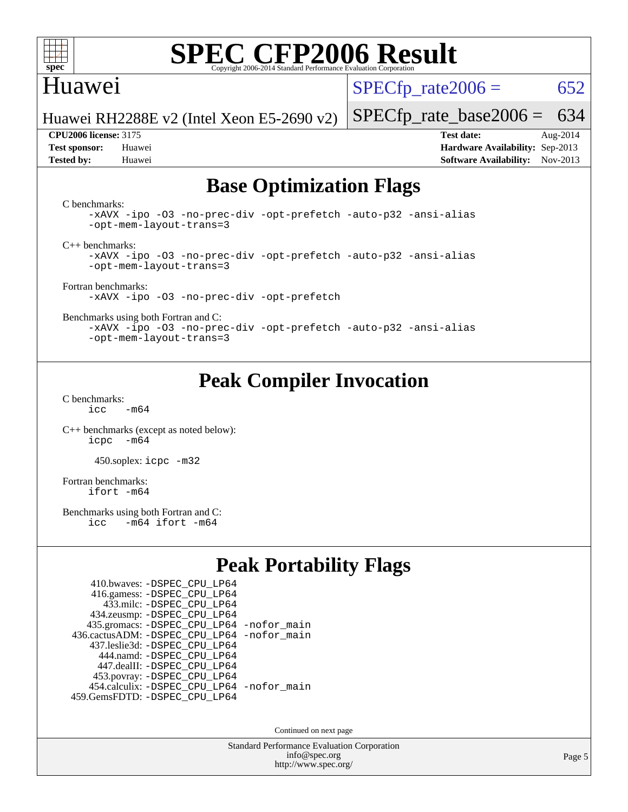

### Huawei

 $SPECTp\_rate2006 = 652$ 

Huawei RH2288E v2 (Intel Xeon E5-2690 v2)

**[Test sponsor:](http://www.spec.org/auto/cpu2006/Docs/result-fields.html#Testsponsor)** Huawei **[Hardware Availability:](http://www.spec.org/auto/cpu2006/Docs/result-fields.html#HardwareAvailability)** Sep-2013 **[Tested by:](http://www.spec.org/auto/cpu2006/Docs/result-fields.html#Testedby)** Huawei **[Software Availability:](http://www.spec.org/auto/cpu2006/Docs/result-fields.html#SoftwareAvailability)** Nov-2013

[SPECfp\\_rate\\_base2006 =](http://www.spec.org/auto/cpu2006/Docs/result-fields.html#SPECfpratebase2006) 634 **[CPU2006 license:](http://www.spec.org/auto/cpu2006/Docs/result-fields.html#CPU2006license)** 3175 **[Test date:](http://www.spec.org/auto/cpu2006/Docs/result-fields.html#Testdate)** Aug-2014

### **[Base Optimization Flags](http://www.spec.org/auto/cpu2006/Docs/result-fields.html#BaseOptimizationFlags)**

[C benchmarks](http://www.spec.org/auto/cpu2006/Docs/result-fields.html#Cbenchmarks):

[-xAVX](http://www.spec.org/cpu2006/results/res2014q3/cpu2006-20140826-31041.flags.html#user_CCbase_f-xAVX) [-ipo](http://www.spec.org/cpu2006/results/res2014q3/cpu2006-20140826-31041.flags.html#user_CCbase_f-ipo) [-O3](http://www.spec.org/cpu2006/results/res2014q3/cpu2006-20140826-31041.flags.html#user_CCbase_f-O3) [-no-prec-div](http://www.spec.org/cpu2006/results/res2014q3/cpu2006-20140826-31041.flags.html#user_CCbase_f-no-prec-div) [-opt-prefetch](http://www.spec.org/cpu2006/results/res2014q3/cpu2006-20140826-31041.flags.html#user_CCbase_f-opt-prefetch) [-auto-p32](http://www.spec.org/cpu2006/results/res2014q3/cpu2006-20140826-31041.flags.html#user_CCbase_f-auto-p32) [-ansi-alias](http://www.spec.org/cpu2006/results/res2014q3/cpu2006-20140826-31041.flags.html#user_CCbase_f-ansi-alias) [-opt-mem-layout-trans=3](http://www.spec.org/cpu2006/results/res2014q3/cpu2006-20140826-31041.flags.html#user_CCbase_f-opt-mem-layout-trans_a7b82ad4bd7abf52556d4961a2ae94d5)

[C++ benchmarks:](http://www.spec.org/auto/cpu2006/Docs/result-fields.html#CXXbenchmarks)

[-xAVX](http://www.spec.org/cpu2006/results/res2014q3/cpu2006-20140826-31041.flags.html#user_CXXbase_f-xAVX) [-ipo](http://www.spec.org/cpu2006/results/res2014q3/cpu2006-20140826-31041.flags.html#user_CXXbase_f-ipo) [-O3](http://www.spec.org/cpu2006/results/res2014q3/cpu2006-20140826-31041.flags.html#user_CXXbase_f-O3) [-no-prec-div](http://www.spec.org/cpu2006/results/res2014q3/cpu2006-20140826-31041.flags.html#user_CXXbase_f-no-prec-div) [-opt-prefetch](http://www.spec.org/cpu2006/results/res2014q3/cpu2006-20140826-31041.flags.html#user_CXXbase_f-opt-prefetch) [-auto-p32](http://www.spec.org/cpu2006/results/res2014q3/cpu2006-20140826-31041.flags.html#user_CXXbase_f-auto-p32) [-ansi-alias](http://www.spec.org/cpu2006/results/res2014q3/cpu2006-20140826-31041.flags.html#user_CXXbase_f-ansi-alias) [-opt-mem-layout-trans=3](http://www.spec.org/cpu2006/results/res2014q3/cpu2006-20140826-31041.flags.html#user_CXXbase_f-opt-mem-layout-trans_a7b82ad4bd7abf52556d4961a2ae94d5)

[Fortran benchmarks](http://www.spec.org/auto/cpu2006/Docs/result-fields.html#Fortranbenchmarks): [-xAVX](http://www.spec.org/cpu2006/results/res2014q3/cpu2006-20140826-31041.flags.html#user_FCbase_f-xAVX) [-ipo](http://www.spec.org/cpu2006/results/res2014q3/cpu2006-20140826-31041.flags.html#user_FCbase_f-ipo) [-O3](http://www.spec.org/cpu2006/results/res2014q3/cpu2006-20140826-31041.flags.html#user_FCbase_f-O3) [-no-prec-div](http://www.spec.org/cpu2006/results/res2014q3/cpu2006-20140826-31041.flags.html#user_FCbase_f-no-prec-div) [-opt-prefetch](http://www.spec.org/cpu2006/results/res2014q3/cpu2006-20140826-31041.flags.html#user_FCbase_f-opt-prefetch)

[Benchmarks using both Fortran and C](http://www.spec.org/auto/cpu2006/Docs/result-fields.html#BenchmarksusingbothFortranandC):

[-xAVX](http://www.spec.org/cpu2006/results/res2014q3/cpu2006-20140826-31041.flags.html#user_CC_FCbase_f-xAVX) [-ipo](http://www.spec.org/cpu2006/results/res2014q3/cpu2006-20140826-31041.flags.html#user_CC_FCbase_f-ipo) [-O3](http://www.spec.org/cpu2006/results/res2014q3/cpu2006-20140826-31041.flags.html#user_CC_FCbase_f-O3) [-no-prec-div](http://www.spec.org/cpu2006/results/res2014q3/cpu2006-20140826-31041.flags.html#user_CC_FCbase_f-no-prec-div) [-opt-prefetch](http://www.spec.org/cpu2006/results/res2014q3/cpu2006-20140826-31041.flags.html#user_CC_FCbase_f-opt-prefetch) [-auto-p32](http://www.spec.org/cpu2006/results/res2014q3/cpu2006-20140826-31041.flags.html#user_CC_FCbase_f-auto-p32) [-ansi-alias](http://www.spec.org/cpu2006/results/res2014q3/cpu2006-20140826-31041.flags.html#user_CC_FCbase_f-ansi-alias) [-opt-mem-layout-trans=3](http://www.spec.org/cpu2006/results/res2014q3/cpu2006-20140826-31041.flags.html#user_CC_FCbase_f-opt-mem-layout-trans_a7b82ad4bd7abf52556d4961a2ae94d5)

### **[Peak Compiler Invocation](http://www.spec.org/auto/cpu2006/Docs/result-fields.html#PeakCompilerInvocation)**

[C benchmarks](http://www.spec.org/auto/cpu2006/Docs/result-fields.html#Cbenchmarks):  $icc$   $-m64$ 

[C++ benchmarks \(except as noted below\):](http://www.spec.org/auto/cpu2006/Docs/result-fields.html#CXXbenchmarksexceptasnotedbelow) [icpc -m64](http://www.spec.org/cpu2006/results/res2014q3/cpu2006-20140826-31041.flags.html#user_CXXpeak_intel_icpc_64bit_bedb90c1146cab66620883ef4f41a67e)

450.soplex: [icpc -m32](http://www.spec.org/cpu2006/results/res2014q3/cpu2006-20140826-31041.flags.html#user_peakCXXLD450_soplex_intel_icpc_4e5a5ef1a53fd332b3c49e69c3330699)

[Fortran benchmarks](http://www.spec.org/auto/cpu2006/Docs/result-fields.html#Fortranbenchmarks): [ifort -m64](http://www.spec.org/cpu2006/results/res2014q3/cpu2006-20140826-31041.flags.html#user_FCpeak_intel_ifort_64bit_ee9d0fb25645d0210d97eb0527dcc06e)

[Benchmarks using both Fortran and C](http://www.spec.org/auto/cpu2006/Docs/result-fields.html#BenchmarksusingbothFortranandC):<br>icc -m64 ifort -m64  $-m64$  ifort  $-m64$ 

### **[Peak Portability Flags](http://www.spec.org/auto/cpu2006/Docs/result-fields.html#PeakPortabilityFlags)**

| 410.bwaves: - DSPEC CPU LP64                |  |
|---------------------------------------------|--|
| 416.gamess: -DSPEC_CPU_LP64                 |  |
| 433.milc: - DSPEC_CPU LP64                  |  |
| 434.zeusmp: -DSPEC_CPU_LP64                 |  |
| 435.gromacs: -DSPEC_CPU_LP64 -nofor_main    |  |
| 436.cactusADM: -DSPEC CPU LP64 -nofor main  |  |
| 437.leslie3d: -DSPEC CPU LP64               |  |
| 444.namd: - DSPEC CPU LP64                  |  |
| 447.dealII: -DSPEC CPU LP64                 |  |
| 453.povray: -DSPEC_CPU_LP64                 |  |
| 454.calculix: - DSPEC CPU LP64 - nofor main |  |
| 459.GemsFDTD: - DSPEC_CPU_LP64              |  |

Continued on next page

Standard Performance Evaluation Corporation [info@spec.org](mailto:info@spec.org) <http://www.spec.org/>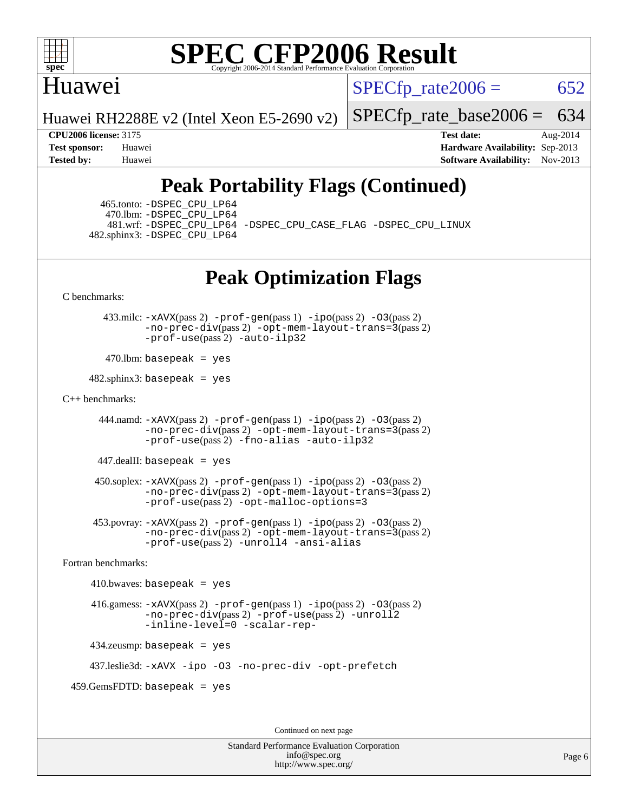

### Huawei

 $SPECTp\_rate2006 = 652$ 

Huawei RH2288E v2 (Intel Xeon E5-2690 v2)

[SPECfp\\_rate\\_base2006 =](http://www.spec.org/auto/cpu2006/Docs/result-fields.html#SPECfpratebase2006) 634

**[CPU2006 license:](http://www.spec.org/auto/cpu2006/Docs/result-fields.html#CPU2006license)** 3175 **[Test date:](http://www.spec.org/auto/cpu2006/Docs/result-fields.html#Testdate)** Aug-2014 **[Test sponsor:](http://www.spec.org/auto/cpu2006/Docs/result-fields.html#Testsponsor)** Huawei **[Hardware Availability:](http://www.spec.org/auto/cpu2006/Docs/result-fields.html#HardwareAvailability)** Sep-2013 **[Tested by:](http://www.spec.org/auto/cpu2006/Docs/result-fields.html#Testedby)** Huawei **[Software Availability:](http://www.spec.org/auto/cpu2006/Docs/result-fields.html#SoftwareAvailability)** Nov-2013

### **[Peak Portability Flags \(Continued\)](http://www.spec.org/auto/cpu2006/Docs/result-fields.html#PeakPortabilityFlags)**

 465.tonto: [-DSPEC\\_CPU\\_LP64](http://www.spec.org/cpu2006/results/res2014q3/cpu2006-20140826-31041.flags.html#suite_peakPORTABILITY465_tonto_DSPEC_CPU_LP64) 470.lbm: [-DSPEC\\_CPU\\_LP64](http://www.spec.org/cpu2006/results/res2014q3/cpu2006-20140826-31041.flags.html#suite_peakPORTABILITY470_lbm_DSPEC_CPU_LP64) 482.sphinx3: [-DSPEC\\_CPU\\_LP64](http://www.spec.org/cpu2006/results/res2014q3/cpu2006-20140826-31041.flags.html#suite_peakPORTABILITY482_sphinx3_DSPEC_CPU_LP64)

481.wrf: [-DSPEC\\_CPU\\_LP64](http://www.spec.org/cpu2006/results/res2014q3/cpu2006-20140826-31041.flags.html#suite_peakPORTABILITY481_wrf_DSPEC_CPU_LP64) [-DSPEC\\_CPU\\_CASE\\_FLAG](http://www.spec.org/cpu2006/results/res2014q3/cpu2006-20140826-31041.flags.html#b481.wrf_peakCPORTABILITY_DSPEC_CPU_CASE_FLAG) [-DSPEC\\_CPU\\_LINUX](http://www.spec.org/cpu2006/results/res2014q3/cpu2006-20140826-31041.flags.html#b481.wrf_peakCPORTABILITY_DSPEC_CPU_LINUX)

### **[Peak Optimization Flags](http://www.spec.org/auto/cpu2006/Docs/result-fields.html#PeakOptimizationFlags)**

[C benchmarks](http://www.spec.org/auto/cpu2006/Docs/result-fields.html#Cbenchmarks):

 433.milc: [-xAVX](http://www.spec.org/cpu2006/results/res2014q3/cpu2006-20140826-31041.flags.html#user_peakPASS2_CFLAGSPASS2_LDFLAGS433_milc_f-xAVX)(pass 2) [-prof-gen](http://www.spec.org/cpu2006/results/res2014q3/cpu2006-20140826-31041.flags.html#user_peakPASS1_CFLAGSPASS1_LDFLAGS433_milc_prof_gen_e43856698f6ca7b7e442dfd80e94a8fc)(pass 1) [-ipo](http://www.spec.org/cpu2006/results/res2014q3/cpu2006-20140826-31041.flags.html#user_peakPASS2_CFLAGSPASS2_LDFLAGS433_milc_f-ipo)(pass 2) [-O3](http://www.spec.org/cpu2006/results/res2014q3/cpu2006-20140826-31041.flags.html#user_peakPASS2_CFLAGSPASS2_LDFLAGS433_milc_f-O3)(pass 2) [-no-prec-div](http://www.spec.org/cpu2006/results/res2014q3/cpu2006-20140826-31041.flags.html#user_peakPASS2_CFLAGSPASS2_LDFLAGS433_milc_f-no-prec-div)(pass 2) [-opt-mem-layout-trans=3](http://www.spec.org/cpu2006/results/res2014q3/cpu2006-20140826-31041.flags.html#user_peakPASS2_CFLAGS433_milc_f-opt-mem-layout-trans_a7b82ad4bd7abf52556d4961a2ae94d5)(pass 2) [-prof-use](http://www.spec.org/cpu2006/results/res2014q3/cpu2006-20140826-31041.flags.html#user_peakPASS2_CFLAGSPASS2_LDFLAGS433_milc_prof_use_bccf7792157ff70d64e32fe3e1250b55)(pass 2) [-auto-ilp32](http://www.spec.org/cpu2006/results/res2014q3/cpu2006-20140826-31041.flags.html#user_peakCOPTIMIZE433_milc_f-auto-ilp32)

 $470$ .lbm: basepeak = yes

 $482$ .sphinx3: basepeak = yes

#### [C++ benchmarks:](http://www.spec.org/auto/cpu2006/Docs/result-fields.html#CXXbenchmarks)

 444.namd: [-xAVX](http://www.spec.org/cpu2006/results/res2014q3/cpu2006-20140826-31041.flags.html#user_peakPASS2_CXXFLAGSPASS2_LDFLAGS444_namd_f-xAVX)(pass 2) [-prof-gen](http://www.spec.org/cpu2006/results/res2014q3/cpu2006-20140826-31041.flags.html#user_peakPASS1_CXXFLAGSPASS1_LDFLAGS444_namd_prof_gen_e43856698f6ca7b7e442dfd80e94a8fc)(pass 1) [-ipo](http://www.spec.org/cpu2006/results/res2014q3/cpu2006-20140826-31041.flags.html#user_peakPASS2_CXXFLAGSPASS2_LDFLAGS444_namd_f-ipo)(pass 2) [-O3](http://www.spec.org/cpu2006/results/res2014q3/cpu2006-20140826-31041.flags.html#user_peakPASS2_CXXFLAGSPASS2_LDFLAGS444_namd_f-O3)(pass 2) [-no-prec-div](http://www.spec.org/cpu2006/results/res2014q3/cpu2006-20140826-31041.flags.html#user_peakPASS2_CXXFLAGSPASS2_LDFLAGS444_namd_f-no-prec-div)(pass 2) [-opt-mem-layout-trans=3](http://www.spec.org/cpu2006/results/res2014q3/cpu2006-20140826-31041.flags.html#user_peakPASS2_CXXFLAGS444_namd_f-opt-mem-layout-trans_a7b82ad4bd7abf52556d4961a2ae94d5)(pass 2) [-prof-use](http://www.spec.org/cpu2006/results/res2014q3/cpu2006-20140826-31041.flags.html#user_peakPASS2_CXXFLAGSPASS2_LDFLAGS444_namd_prof_use_bccf7792157ff70d64e32fe3e1250b55)(pass 2) [-fno-alias](http://www.spec.org/cpu2006/results/res2014q3/cpu2006-20140826-31041.flags.html#user_peakCXXOPTIMIZE444_namd_f-no-alias_694e77f6c5a51e658e82ccff53a9e63a) [-auto-ilp32](http://www.spec.org/cpu2006/results/res2014q3/cpu2006-20140826-31041.flags.html#user_peakCXXOPTIMIZE444_namd_f-auto-ilp32)

447.dealII: basepeak = yes

 $450$ .soplex:  $-x$ AVX(pass 2)  $-p$ rof-gen(pass 1)  $-i$ po(pass 2)  $-03$ (pass 2) [-no-prec-div](http://www.spec.org/cpu2006/results/res2014q3/cpu2006-20140826-31041.flags.html#user_peakPASS2_CXXFLAGSPASS2_LDFLAGS450_soplex_f-no-prec-div)(pass 2) [-opt-mem-layout-trans=3](http://www.spec.org/cpu2006/results/res2014q3/cpu2006-20140826-31041.flags.html#user_peakPASS2_CXXFLAGS450_soplex_f-opt-mem-layout-trans_a7b82ad4bd7abf52556d4961a2ae94d5)(pass 2) [-prof-use](http://www.spec.org/cpu2006/results/res2014q3/cpu2006-20140826-31041.flags.html#user_peakPASS2_CXXFLAGSPASS2_LDFLAGS450_soplex_prof_use_bccf7792157ff70d64e32fe3e1250b55)(pass 2) [-opt-malloc-options=3](http://www.spec.org/cpu2006/results/res2014q3/cpu2006-20140826-31041.flags.html#user_peakOPTIMIZE450_soplex_f-opt-malloc-options_13ab9b803cf986b4ee62f0a5998c2238)

 453.povray: [-xAVX](http://www.spec.org/cpu2006/results/res2014q3/cpu2006-20140826-31041.flags.html#user_peakPASS2_CXXFLAGSPASS2_LDFLAGS453_povray_f-xAVX)(pass 2) [-prof-gen](http://www.spec.org/cpu2006/results/res2014q3/cpu2006-20140826-31041.flags.html#user_peakPASS1_CXXFLAGSPASS1_LDFLAGS453_povray_prof_gen_e43856698f6ca7b7e442dfd80e94a8fc)(pass 1) [-ipo](http://www.spec.org/cpu2006/results/res2014q3/cpu2006-20140826-31041.flags.html#user_peakPASS2_CXXFLAGSPASS2_LDFLAGS453_povray_f-ipo)(pass 2) [-O3](http://www.spec.org/cpu2006/results/res2014q3/cpu2006-20140826-31041.flags.html#user_peakPASS2_CXXFLAGSPASS2_LDFLAGS453_povray_f-O3)(pass 2) [-no-prec-div](http://www.spec.org/cpu2006/results/res2014q3/cpu2006-20140826-31041.flags.html#user_peakPASS2_CXXFLAGSPASS2_LDFLAGS453_povray_f-no-prec-div)(pass 2) [-opt-mem-layout-trans=3](http://www.spec.org/cpu2006/results/res2014q3/cpu2006-20140826-31041.flags.html#user_peakPASS2_CXXFLAGS453_povray_f-opt-mem-layout-trans_a7b82ad4bd7abf52556d4961a2ae94d5)(pass 2) [-prof-use](http://www.spec.org/cpu2006/results/res2014q3/cpu2006-20140826-31041.flags.html#user_peakPASS2_CXXFLAGSPASS2_LDFLAGS453_povray_prof_use_bccf7792157ff70d64e32fe3e1250b55)(pass 2) [-unroll4](http://www.spec.org/cpu2006/results/res2014q3/cpu2006-20140826-31041.flags.html#user_peakCXXOPTIMIZE453_povray_f-unroll_4e5e4ed65b7fd20bdcd365bec371b81f) [-ansi-alias](http://www.spec.org/cpu2006/results/res2014q3/cpu2006-20140826-31041.flags.html#user_peakCXXOPTIMIZE453_povray_f-ansi-alias)

[Fortran benchmarks](http://www.spec.org/auto/cpu2006/Docs/result-fields.html#Fortranbenchmarks):

```
410.bwaves: basepeak = yes 416.gamess: -xAVX(pass 2) -prof-gen(pass 1) -ipo(pass 2) -O3(pass 2)
         -no-prec-div(pass 2) -prof-use(pass 2) -unroll2
         -inline-level=0 -scalar-rep-
434.zeusmp: basepeak = yes
```
437.leslie3d: [-xAVX](http://www.spec.org/cpu2006/results/res2014q3/cpu2006-20140826-31041.flags.html#user_peakOPTIMIZE437_leslie3d_f-xAVX) [-ipo](http://www.spec.org/cpu2006/results/res2014q3/cpu2006-20140826-31041.flags.html#user_peakOPTIMIZE437_leslie3d_f-ipo) [-O3](http://www.spec.org/cpu2006/results/res2014q3/cpu2006-20140826-31041.flags.html#user_peakOPTIMIZE437_leslie3d_f-O3) [-no-prec-div](http://www.spec.org/cpu2006/results/res2014q3/cpu2006-20140826-31041.flags.html#user_peakOPTIMIZE437_leslie3d_f-no-prec-div) [-opt-prefetch](http://www.spec.org/cpu2006/results/res2014q3/cpu2006-20140826-31041.flags.html#user_peakOPTIMIZE437_leslie3d_f-opt-prefetch)

459.GemsFDTD: basepeak = yes

Continued on next page

Standard Performance Evaluation Corporation [info@spec.org](mailto:info@spec.org) <http://www.spec.org/>